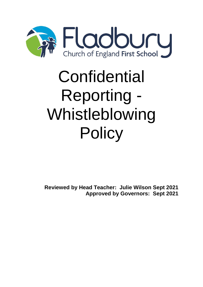

# **Confidential** Reporting - Whistleblowing **Policy**

**Reviewed by Head Teacher: Julie Wilson Sept 2021 Approved by Governors: Sept 2021**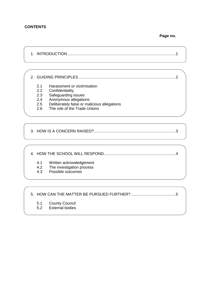#### **CONTENTS**

**Page no.**

1. INTRODUCTION..................................................................................................1

2. GUIDING PRINCIPLES........................................................................................2

- 2.1 Harassment or victimisation
- 2.2 Confidentiality
- 2.3 Safeguarding issues
- 2.4 Anonymous allegations
- 2.5 Deliberately false or malicious allegations
- 2.6 The role of the Trade Unions

3. HOW IS A CONCERN RAISED?..........................................................................3

4. HOW THE SCHOOL WILL RESPOND.................................................................4

- 4.1 Written acknowledgement
- 4.2 The investigation process
- 4.3 Possible outcomes

5. HOW CAN THE MATTER BE PURSUED FURTHER? ........................................5

- 5.1 County Council
- 5.2 External bodies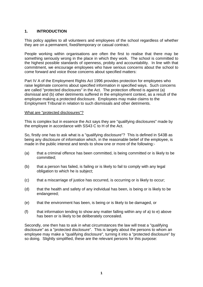#### **1. INTRODUCTION**

This policy applies to all volunteers and employees of the school regardless of whether they are on a permanent, fixed/temporary or casual contract.

People working within organisations are often the first to realise that there may be something seriously wrong in the place in which they work. The school is committed to the highest possible standards of openness, probity and accountability. In line with that commitment, we encourage employees who have serious concerns about the school to come forward and voice those concerns about specified matters:

Part IV A of the Employment Rights Act 1996 provides protection for employees who raise legitimate concerns about specified information in specified ways. Such concerns are called "protected disclosures" in the Act. The protection offered is against (a) dismissal and (b) other detriments suffered in the employment context, as a result of the employee making a protected disclosure. Employees may make claims to the Employment Tribunal in relation to such dismissals and other detriments.

#### What are "protected disclosures"?

This is complex but in essence the Act says they are "qualifying disclosures" made by the employee in accordance with SS43 C to H of the Act.

So, firstly one has to ask what is a "qualifying disclosure"? This is defined in S43B as being any disclosure of information which, in the reasonable belief of the employee, is made in the public interest and tends to show one or more of the following:-

- (a) that a criminal offence has been committed, is being committed or is likely to be committed;
- (b) that a person has failed, is failing or is likely to fail to comply with any legal obligation to which he is subject;
- (c) that a miscarriage of justice has occurred, is occurring or is likely to occur;
- (d) that the health and safety of any individual has been, is being or is likely to be endangered;
- (e) that the environment has been, is being or is likely to be damaged, or
- (f) that information tending to show any matter falling within any of a) to e) above has been or is likely to be deliberately concealed.

Secondly, one then has to ask in what circumstances the law will treat a "qualifying disclosure" as a "protected disclosure". This is largely about the persons to whom an employee may make a "qualifying disclosure", turning it into a "protected disclosure" by so doing. Slightly simplified, these are the relevant persons for this purpose: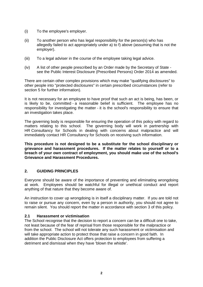- (i) To the employee's employer.
- (ii) To another person who has legal responsibility for the person(s) who has allegedly failed to act appropriately under a) to f) above (assuming that is not the employer).
- (iii) To a legal adviser in the course of the employee taking legal advice.
- (iv) A list of other people prescribed by an Order made by the Secretary of State see the Public Interest Disclosure (Prescribed Persons) Order 2014 as amended.

There are certain other complex provisions which may make "qualifying disclosures" to other people into "protected disclosures" in certain prescribed circumstances (refer to section 5 for further information).

It is not necessary for an employee to have proof that such an act is being, has been, or is likely to be, committed - a reasonable belief is sufficient. The employee has no responsibility for investigating the matter - it is the school's responsibility to ensure that an investigation takes place.

The governing body is responsible for ensuring the operation of this policy with regard to matters relating to this school. The governing body will work in partnership with HR Consultancy for Schools in dealing with concerns about malpractice and will immediately contact HR Consultancy for Schools on receiving such information.

**This procedure is not designed to be a substitute for the school disciplinary or grievance and harassment procedures. If the matter relates to yourself or to a breach of your own contract of employment, you should make use of the school's Grievance and Harassment Procedures.**

#### **2. GUIDING PRINCIPLES**

Everyone should be aware of the importance of preventing and eliminating wrongdoing at work. Employees should be watchful for illegal or unethical conduct and report anything of that nature that they become aware of.

An instruction to cover up wrongdoing is in itself a disciplinary matter. If you are told not to raise or pursue any concern, even by a person in authority, you should not agree to remain silent. You should report the matter in accordance with section 3 of this policy.

#### **2.1 Harassment or victimisation**

The School recognise that the decision to report a concern can be a difficult one to take, not least because of the fear of reprisal from those responsible for the malpractice or from the school. The school will not tolerate any such harassment or victimisation and will take appropriate action to protect those that raise a concern in good faith. In addition the Public Disclosure Act offers protection to employees from suffering a detriment and dismissal when they have 'blown the whistle'.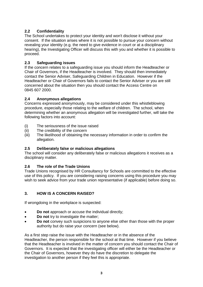# **2.2 Confidentiality**

The School undertakes to protect your identity and won't disclose it without your consent. If the situation arises where it is not possible to pursue your concern without revealing your identity (e.g. the need to give evidence in court or at a disciplinary hearing), the Investigating Officer will discuss this with you and whether it is possible to proceed.

# **2.3 Safeguarding issues**

If the concern relates to a safeguarding issue you should inform the Headteacher or Chair of Governors, if the Headteacher is involved. They should then immediately contact the Senior Adviser, Safeguarding Children in Education. However if the Headteacher or Chair of Governors fails to contact the Senior Adviser or you are still concerned about the situation then you should contact the Access Centre on 0845 607 2000.

# **2.4 Anonymous allegations**

Concerns expressed anonymously, may be considered under this whistleblowing procedure, especially those relating to the welfare of children. The school, when determining whether an anonymous allegation will be investigated further, will take the following factors into account:

- (i) The seriousness of the issue raised
- (ii) The credibility of the concern
- (iii) The likelihood of obtaining the necessary information in order to confirm the allegation.

# **2.5 Deliberately false or malicious allegations**

The school will consider any deliberately false or malicious allegations it receives as a disciplinary matter.

# **2.6 The role of the Trade Unions**

Trade Unions recognised by HR Consultancy for Schools are committed to the effective use of this policy. If you are considering raising concerns using this procedure you may wish to seek advice from your trade union representative (if applicable) before doing so.

# **3. HOW IS A CONCERN RAISED?**

If wrongdoing in the workplace is suspected:

- **Do not** approach or accuse the individual directly;
- **•** Do not try to investigate the matter;
- **Do not** convey such suspicions to anyone else other than those with the proper authority but do raise your concern (see below).

As a first step raise the issue with the Headteacher or in the absence of the Headteacher, the person responsible for the school at that time. However if you believe that the Headteacher is involved in the matter of concern you should contact the Chair of Governors. It is expected that the investigating officer will either be the Headteacher or the Chair of Governors, however they do have the discretion to delegate the investigation to another person if they feel this is appropriate.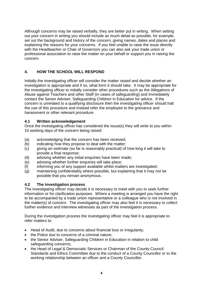Although concerns may be raised verbally, they are better put in writing. When setting out your concern in writing you should include as much detail as possible, for example, set out the background and history of the concern; giving names, dates and places and explaining the reasons for your concerns. If you feel unable to raise the issue directly with the Headteacher or Chair of Governors you can also ask your trade union or professional association to raise the matter on your behalf or support you in raising the concern.

# **4. HOW THE SCHOOL WILL RESPOND**

Initially the investigating officer will consider the matter raised and decide whether an investigation is appropriate and if so, what form it should take. It may be appropriate for the investigating officer to initially consider other procedures such as the Allegations of Abuse against Teachers and other Staff (in cases of safeguarding) and immediately contact the Senior Adviser, Safeguarding Children in Education for advice. If the concern is unrelated to a qualifying disclosure then the investigating officer should halt the use of this procedure and instead refer the employee to the grievance and harassment or other relevant procedure.

# **4.1 Written acknowledgement**

Once the investigating officer has considered the issue(s) they will write to you within 10 working days of the concern being raised:

- (a) acknowledging that the concern has been received;
- (b) indicating how they propose to deal with the matter;
- (c) giving an estimate (so far is reasonably practical) of how long it will take to provide a final response;
- (d) advising whether any initial enquiries have been made;
- (e) advising whether further enquiries will take place;
- (f) informing you of any support available whilst matters are investigated;
- (g) maintaining confidentiality where possible, but explaining that it may not be possible that you remain anonymous.

# **4.2 The investigation process**

The investigating officer may decide it is necessary to meet with you to seek further information or for clarification purposes. Where a meeting is arranged you have the right to be accompanied by a trade union representative or a colleague who is not involved in the matter(s) of concern. The investigating officer may also feel it is necessary to collect further evidence and interview witnesses as part of the investigation process.

During the investigation process the investigating officer may feel it is appropriate to refer matters to:

- Head of Audit, due to concerns about financial loss or irregularity;
- the Police due to concerns of a criminal nature;
- the Senior Adviser, Safeguarding Children in Education in relation to child safeguarding concerns;
- the Head of Legal & Democratic Services or Chairman of the County Council Standards and Ethics Committee due to the conduct of a County Councillor or to the working relationship between an officer and a County Councillor.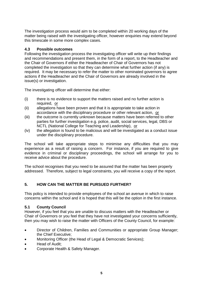The investigation process would aim to be completed within 20 working days of the matter being raised with the investigating officer, however enquiries may extend beyond this timescale in some more complex cases.

#### **4.3 Possible outcomes**

Following the investigation process the investigating officer will write up their findings and recommendations and present them, in the form of a report, to the Headteacher and the Chair of Governors if either the Headteacher of Chair of Governors has not completed the investigation so that they can determine what further action (if any) is required. It may be necessary to refer the matter to other nominated governors to agree actions if the Headteacher and the Chair of Governors are already involved in the issue(s) or investigation.

The investigating officer will determine that either:

- (i) there is no evidence to support the matters raised and no further action is required, or
- (ii) allegations have been proven and that it is appropriate to take action in accordance with the disciplinary procedure or other relevant action, or
- (iii) the outcome is currently unknown because matters have been referred to other parties for further investigation e.g. police, audit, social services, legal, DBS or NCTL (National College for Teaching and Leadership), or
- (iv) the allegation is found to be malicious and will be investigated as a conduct issue under the disciplinary procedure.

The school will take appropriate steps to minimise any difficulties that you may experience as a result of raising a concern. For instance, if you are required to give evidence in criminal or disciplinary proceedings, the school will arrange for you to receive advice about the procedure.

The school recognises that you need to be assured that the matter has been properly addressed. Therefore, subject to legal constraints, you will receive a copy of the report.

# **5. HOW CAN THE MATTER BE PURSUED FURTHER?**

This policy is intended to provide employees of the school an avenue in which to raise concerns within the school and it is hoped that this will be the option in the first instance.

# **5.1 County Council**

However, if you feel that you are unable to discuss matters with the Headteacher or Chair of Governors or you feel that they have not investigated your concerns sufficiently, then you may wish to raise the matter with Officers of the County Council, for example:

- Director of Children, Families and Communities or appropriate Group Manager; the Chief Executive;
- Monitoring Officer (the Head of Legal & Democratic Services);
- Head of Audit:
- Corporate Health & Safety Manager.